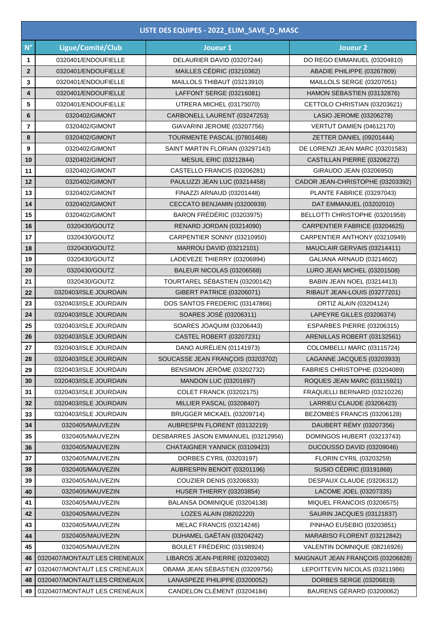| LISTE DES EQUIPES - 2022 ELIM SAVE D MASC |                              |                                     |                                   |  |  |
|-------------------------------------------|------------------------------|-------------------------------------|-----------------------------------|--|--|
| $N^{\circ}$                               | Ligue/Comité/Club            | Joueur 1                            | Joueur <sub>2</sub>               |  |  |
| 1                                         | 0320401/ENDOUFIELLE          | DELAURIER DAVID (03207244)          | DO REGO EMMANUEL (03204810)       |  |  |
| $\mathbf{2}$                              | 0320401/ENDOUFIELLE          | MAILLES CÉDRIC (03210362)           | ABADIE PHILIPPE (03267809)        |  |  |
| 3                                         | 0320401/ENDOUFIELLE          | MAILLOLS THIBAUT (03213910)         | MAILLOLS SERGE (03207051)         |  |  |
| 4                                         | 0320401/ENDOUFIELLE          | LAFFONT SERGE (03216081)            | HAMON SÉBASTIEN (03132876)        |  |  |
| 5                                         | 0320401/ENDOUFIELLE          | UTRERA MICHEL (03175070)            | CETTOLO CHRISTIAN (03203621)      |  |  |
| 6                                         | 0320402/GIMONT               | CARBONELL LAURENT (03247253)        | LASIO JEROME (03206278)           |  |  |
| $\overline{7}$                            | 0320402/GIMONT               | GIAVARINI JEROME (03207756)         | VERTUT DAMIEN (04612170)          |  |  |
| 8                                         | 0320402/GIMONT               | TOURMENTE PASCAL (07801468)         | ZETTER DANIEL (09201444)          |  |  |
| 9                                         | 0320402/GIMONT               | SAINT MARTIN FLORIAN (03297143)     | DE LORENZI JEAN MARC (03201583)   |  |  |
| 10                                        | 0320402/GIMONT               | <b>MESUIL ERIC (03212844)</b>       | CASTILLAN PIERRE (03206272)       |  |  |
| 11                                        | 0320402/GIMONT               | CASTELLO FRANCIS (03206281)         | GIRAUDO JEAN (03206950)           |  |  |
| 12                                        | 0320402/GIMONT               | PAULUZZI JEAN LUC (03214458)        | CADOR JEAN-CHRISTOPHE (03203392)  |  |  |
| 13                                        | 0320402/GIMONT               | FINAZZI ARNAUD (03201448)           | PLANTE FABRICE (03297043)         |  |  |
| 14                                        | 0320402/GIMONT               | CECCATO BENJAMIN (03200939)         | DAT EMMANUEL (03202010)           |  |  |
| 15                                        | 0320402/GIMONT               | BARON FRÉDÉRIC (03203975)           | BELLOTTI CHRISTOPHE (03201958)    |  |  |
| 16                                        | 0320430/GOUTZ                | RENARD JORDAN (03214090)            | CARPENTIER FABRICE (03204625)     |  |  |
| 17                                        | 0320430/GOUTZ                | CARPENTIER SONNY (03210950)         | CARPENTIER ANTHONY (03210949)     |  |  |
| 18                                        | 0320430/GOUTZ                | <b>MARROU DAVID (03212101)</b>      | MAUCLAIR GERVAIS (03214411)       |  |  |
| 19                                        | 0320430/GOUTZ                | LADEVEZE THIERRY (03206894)         | GALIANA ARNAUD (03214602)         |  |  |
| 20                                        | 0320430/GOUTZ                | BALEUR NICOLAS (03206568)           | LURO JEAN MICHEL (03201508)       |  |  |
| 21                                        | 0320430/GOUTZ                | TOURTAREL SÉBASTIEN (03200142)      | <b>BABIN JEAN NOEL (03214413)</b> |  |  |
| 22                                        | 0320403/ISLE JOURDAIN        | GIBERT PATRICE (03206071)           | RIBAUT JEAN-LOUIS (03277201)      |  |  |
| 23                                        | 0320403/ISLE JOURDAIN        | DOS SANTOS FREDERIC (03147866)      | ORTIZ ALAIN (03204124)            |  |  |
| 24                                        | 0320403/ISLE JOURDAIN        | SOARES JOSÉ (03206311)              | LAPEYRE GILLES (03206374)         |  |  |
| 25                                        | 0320403/ISLE JOURDAIN        | SOARES JOAQUIM (03206443)           | ESPARBES PIERRE (03206315)        |  |  |
| 26                                        | 0320403/ISLE JOURDAIN        | <b>CASTEL ROBERT (03207231)</b>     | ARENILLAS ROBERT (03132561)       |  |  |
| 27                                        | 0320403/ISLE JOURDAIN        | DANO AURÉLIEN (01141973)            | COLOMBELLI MARC (03115724)        |  |  |
| 28                                        | 0320403/ISLE JOURDAIN        | SOUCASSE JEAN FRANÇOIS (03203702)   | LAGANNE JACQUES (03203933)        |  |  |
| 29                                        | 0320403/ISLE JOURDAIN        | BENSIMON JÉRÔME (03202732)          | FABRIES CHRISTOPHE (03204089)     |  |  |
| 30                                        | 0320403/ISLE JOURDAIN        | MANDON LUC (03201697)               | ROQUES JEAN MARC (03115921)       |  |  |
| 31                                        | 0320403/ISLE JOURDAIN        | <b>COLET FRANCK (03202175)</b>      | FRAQUELLI BERNARD (03210226)      |  |  |
| 32                                        | 0320403/ISLE JOURDAIN        | MILLIER PASCAL (03208407)           | LARRIEU CLAUDE (03206423)         |  |  |
| 33                                        | 0320403/ISLE JOURDAIN        | BRUGGER MICKAEL (03209714)          | BEZOMBES FRANCIS (03206128)       |  |  |
| 34                                        | 0320405/MAUVEZIN             | AUBRESPIN FLORENT (03132219)        | DAUBERT RÉMY (03207356)           |  |  |
| 35                                        | 0320405/MAUVEZIN             | DESBARRES JASON EMMANUEL (03212956) | DOMINGOS HUBERT (03213743)        |  |  |
| 36                                        | 0320405/MAUVEZIN             | CHATAIGNER YANNICK (03109423)       | DUCOUSSO DAVID (03209046)         |  |  |
| 37                                        | 0320405/MAUVEZIN             | DORBES CYRIL (03203197)             | FLORIN CYRIL (03203259)           |  |  |
| 38                                        | 0320405/MAUVEZIN             | AUBRESPIN BENOIT (03201196)         | SUSIO CÉDRIC (03191868)           |  |  |
| 39                                        | 0320405/MAUVEZIN             | <b>COUZIER DENIS (03206833)</b>     | DESPAUX CLAUDE (03206312)         |  |  |
| 40                                        | 0320405/MAUVEZIN             | <b>HUSER THIERRY (03203854)</b>     | LACOME JOEL (03207335)            |  |  |
| 41                                        | 0320405/MAUVEZIN             | BALANSA DOMINIQUE (03204138)        | MIQUEL FRANCOIS (03206575)        |  |  |
| 42                                        | 0320405/MAUVEZIN             | LOZES ALAIN (08202220)              | SAURIN JACQUES (03121837)         |  |  |
| 43                                        | 0320405/MAUVEZIN             | MELAC FRANCIS (03214246)            | PINHAO EUSEBIO (03203851)         |  |  |
| 44                                        | 0320405/MAUVEZIN             | DUHAMEL GAËTAN (03204242)           | MARABISO FLORENT (03212842)       |  |  |
| 45                                        | 0320405/MAUVEZIN             | BOULET FRÉDÉRIC (03198924)          | VALENTIN DOMNIQUE (08216926)      |  |  |
| 46                                        | 0320407/MONTAUT LES CRENEAUX | LIBAROS JEAN-PIERRE (03203402)      | MAIGNAUT JEAN FRANÇOIS (03206828) |  |  |
| 47                                        | 0320407/MONTAUT LES CRENEAUX | OBAMA JEAN SÉBASTIEN (03209756)     | LEPOITTEVIN NICOLAS (03211986)    |  |  |
| 48                                        | 0320407/MONTAUT LES CRENEAUX | LANASPEZE PHILIPPE (03200052)       | DORBES SERGE (03206819)           |  |  |
| 49                                        | 0320407/MONTAUT LES CRENEAUX | CANDELON CLÉMENT (03204184)         | BAURENS GÉRARD (03200062)         |  |  |